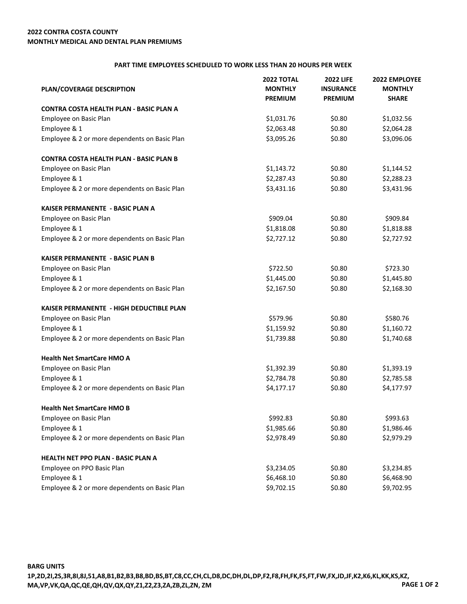## **2022 CONTRA COSTA COUNTY MONTHLY MEDICAL AND DENTAL PLAN PREMIUMS**

## **PART TIME EMPLOYEES SCHEDULED TO WORK LESS THAN 20 HOURS PER WEEK**

| <b>PLAN/COVERAGE DESCRIPTION</b>               | <b>2022 TOTAL</b><br><b>MONTHLY</b><br><b>PREMIUM</b> | <b>2022 LIFE</b><br><b>INSURANCE</b><br><b>PREMIUM</b> | 2022 EMPLOYEE<br><b>MONTHLY</b><br><b>SHARE</b> |
|------------------------------------------------|-------------------------------------------------------|--------------------------------------------------------|-------------------------------------------------|
| <b>CONTRA COSTA HEALTH PLAN - BASIC PLAN A</b> |                                                       |                                                        |                                                 |
| Employee on Basic Plan                         | \$1,031.76                                            | \$0.80                                                 | \$1,032.56                                      |
| Employee & 1                                   | \$2,063.48                                            | \$0.80                                                 | \$2,064.28                                      |
| Employee & 2 or more dependents on Basic Plan  | \$3,095.26                                            | \$0.80                                                 | \$3,096.06                                      |
| <b>CONTRA COSTA HEALTH PLAN - BASIC PLAN B</b> |                                                       |                                                        |                                                 |
| Employee on Basic Plan                         | \$1,143.72                                            | \$0.80                                                 | \$1,144.52                                      |
| Employee & 1                                   | \$2,287.43                                            | \$0.80                                                 | \$2,288.23                                      |
| Employee & 2 or more dependents on Basic Plan  | \$3,431.16                                            | \$0.80                                                 | \$3,431.96                                      |
| KAISER PERMANENTE - BASIC PLAN A               |                                                       |                                                        |                                                 |
| Employee on Basic Plan                         | \$909.04                                              | \$0.80                                                 | \$909.84                                        |
| Employee & 1                                   | \$1,818.08                                            | \$0.80                                                 | \$1,818.88                                      |
| Employee & 2 or more dependents on Basic Plan  | \$2,727.12                                            | \$0.80                                                 | \$2,727.92                                      |
| <b>KAISER PERMANENTE - BASIC PLAN B</b>        |                                                       |                                                        |                                                 |
| Employee on Basic Plan                         | \$722.50                                              | \$0.80                                                 | \$723.30                                        |
| Employee & 1                                   | \$1,445.00                                            | \$0.80                                                 | \$1,445.80                                      |
| Employee & 2 or more dependents on Basic Plan  | \$2,167.50                                            | \$0.80                                                 | \$2,168.30                                      |
| KAISER PERMANENTE - HIGH DEDUCTIBLE PLAN       |                                                       |                                                        |                                                 |
| Employee on Basic Plan                         | \$579.96                                              | \$0.80                                                 | \$580.76                                        |
| Employee & 1                                   | \$1,159.92                                            | \$0.80                                                 | \$1,160.72                                      |
| Employee & 2 or more dependents on Basic Plan  | \$1,739.88                                            | \$0.80                                                 | \$1,740.68                                      |
| <b>Health Net SmartCare HMO A</b>              |                                                       |                                                        |                                                 |
| Employee on Basic Plan                         | \$1,392.39                                            | \$0.80                                                 | \$1,393.19                                      |
| Employee & 1                                   | \$2,784.78                                            | \$0.80                                                 | \$2,785.58                                      |
| Employee & 2 or more dependents on Basic Plan  | \$4,177.17                                            | \$0.80                                                 | \$4,177.97                                      |
| <b>Health Net SmartCare HMO B</b>              |                                                       |                                                        |                                                 |
| Employee on Basic Plan                         | \$992.83                                              | \$0.80                                                 | \$993.63                                        |
| Employee & 1                                   | \$1,985.66                                            | \$0.80                                                 | \$1,986.46                                      |
| Employee & 2 or more dependents on Basic Plan  | \$2,978.49                                            | \$0.80                                                 | \$2,979.29                                      |
| <b>HEALTH NET PPO PLAN - BASIC PLAN A</b>      |                                                       |                                                        |                                                 |
| Employee on PPO Basic Plan                     | \$3,234.05                                            | \$0.80                                                 | \$3,234.85                                      |
| Employee & 1                                   | \$6,468.10                                            | \$0.80                                                 | \$6,468.90                                      |
| Employee & 2 or more dependents on Basic Plan  | \$9,702.15                                            | \$0.80                                                 | \$9,702.95                                      |